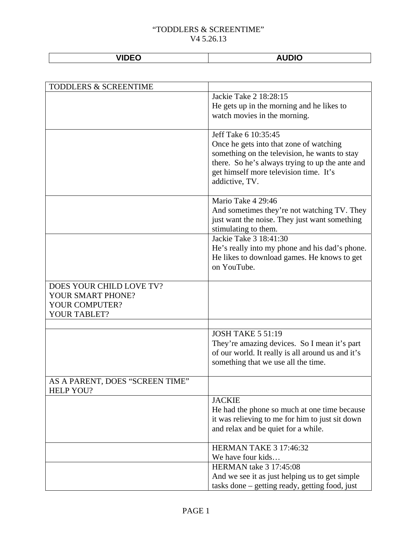| -----<br>- |  |
|------------|--|
|            |  |

| TODDLERS & SCREENTIME           |                                                   |
|---------------------------------|---------------------------------------------------|
|                                 | Jackie Take 2 18:28:15                            |
|                                 | He gets up in the morning and he likes to         |
|                                 | watch movies in the morning.                      |
|                                 |                                                   |
|                                 | Jeff Take 6 10:35:45                              |
|                                 | Once he gets into that zone of watching           |
|                                 | something on the television, he wants to stay     |
|                                 | there. So he's always trying to up the ante and   |
|                                 | get himself more television time. It's            |
|                                 | addictive, TV.                                    |
|                                 |                                                   |
|                                 | Mario Take 4 29:46                                |
|                                 | And sometimes they're not watching TV. They       |
|                                 | just want the noise. They just want something     |
|                                 | stimulating to them.<br>Jackie Take 3 18:41:30    |
|                                 | He's really into my phone and his dad's phone.    |
|                                 | He likes to download games. He knows to get       |
|                                 | on YouTube.                                       |
|                                 |                                                   |
| DOES YOUR CHILD LOVE TV?        |                                                   |
| YOUR SMART PHONE?               |                                                   |
| YOUR COMPUTER?                  |                                                   |
| YOUR TABLET?                    |                                                   |
|                                 |                                                   |
|                                 | <b>JOSH TAKE 5 51:19</b>                          |
|                                 | They're amazing devices. So I mean it's part      |
|                                 | of our world. It really is all around us and it's |
|                                 | something that we use all the time.               |
|                                 |                                                   |
| AS A PARENT, DOES "SCREEN TIME" |                                                   |
| <b>HELP YOU?</b>                |                                                   |
|                                 | <b>JACKIE</b>                                     |
|                                 | He had the phone so much at one time because      |
|                                 | it was relieving to me for him to just sit down   |
|                                 | and relax and be quiet for a while.               |
|                                 | <b>HERMAN TAKE 3 17:46:32</b>                     |
|                                 | We have four kids                                 |
|                                 | <b>HERMAN</b> take 3 17:45:08                     |
|                                 | And we see it as just helping us to get simple    |
|                                 | tasks done – getting ready, getting food, just    |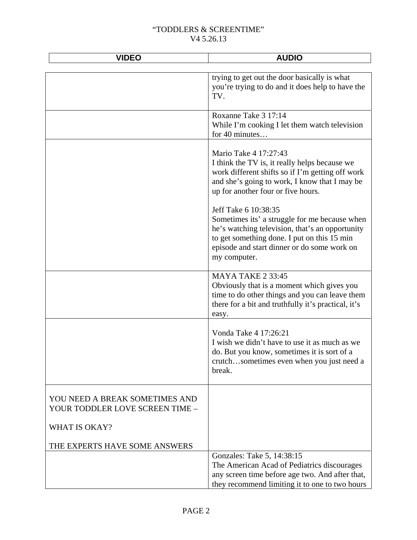| <b>VIDEO</b>                                                      | <b>AUDIO</b>                                                                                                                                                                                                                           |
|-------------------------------------------------------------------|----------------------------------------------------------------------------------------------------------------------------------------------------------------------------------------------------------------------------------------|
|                                                                   | trying to get out the door basically is what<br>you're trying to do and it does help to have the<br>TV.                                                                                                                                |
|                                                                   | Roxanne Take 3 17:14<br>While I'm cooking I let them watch television<br>for 40 minutes                                                                                                                                                |
|                                                                   | Mario Take 4 17:27:43<br>I think the TV is, it really helps because we<br>work different shifts so if I'm getting off work<br>and she's going to work, I know that I may be<br>up for another four or five hours.                      |
|                                                                   | Jeff Take 6 10:38:35<br>Sometimes its' a struggle for me because when<br>he's watching television, that's an opportunity<br>to get something done. I put on this 15 min<br>episode and start dinner or do some work on<br>my computer. |
|                                                                   | MAYA TAKE 2 33:45<br>Obviously that is a moment which gives you<br>time to do other things and you can leave them<br>there for a bit and truthfully it's practical, it's<br>easy.                                                      |
|                                                                   | Vonda Take 4 17:26:21<br>I wish we didn't have to use it as much as we<br>do. But you know, sometimes it is sort of a<br>crutchsometimes even when you just need a<br>break.                                                           |
| YOU NEED A BREAK SOMETIMES AND<br>YOUR TODDLER LOVE SCREEN TIME - |                                                                                                                                                                                                                                        |
| <b>WHAT IS OKAY?</b>                                              |                                                                                                                                                                                                                                        |
| THE EXPERTS HAVE SOME ANSWERS                                     |                                                                                                                                                                                                                                        |
|                                                                   | Gonzales: Take 5, 14:38:15<br>The American Acad of Pediatrics discourages<br>any screen time before age two. And after that,<br>they recommend limiting it to one to two hours                                                         |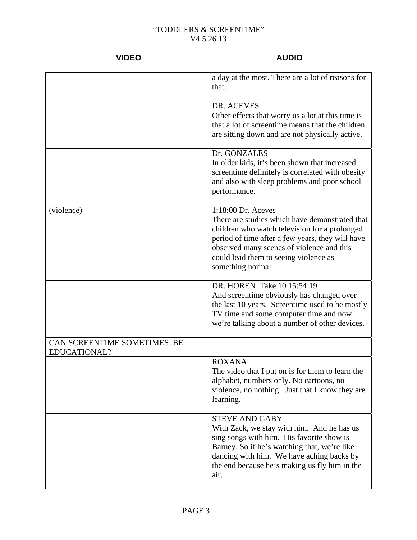| <b>VIDEO</b>                                | <b>AUDIO</b>                                                                                                                                                                                                                                                                         |
|---------------------------------------------|--------------------------------------------------------------------------------------------------------------------------------------------------------------------------------------------------------------------------------------------------------------------------------------|
|                                             | a day at the most. There are a lot of reasons for<br>that.                                                                                                                                                                                                                           |
|                                             | DR. ACEVES<br>Other effects that worry us a lot at this time is<br>that a lot of screentime means that the children<br>are sitting down and are not physically active.                                                                                                               |
|                                             | Dr. GONZALES<br>In older kids, it's been shown that increased<br>screentime definitely is correlated with obesity<br>and also with sleep problems and poor school<br>performance.                                                                                                    |
| (violence)                                  | 1:18:00 Dr. Aceves<br>There are studies which have demonstrated that<br>children who watch television for a prolonged<br>period of time after a few years, they will have<br>observed many scenes of violence and this<br>could lead them to seeing violence as<br>something normal. |
|                                             | DR. HOREN Take 10 15:54:19<br>And screentime obviously has changed over<br>the last 10 years. Screentime used to be mostly<br>TV time and some computer time and now<br>we're talking about a number of other devices.                                                               |
| CAN SCREENTIME SOMETIMES BE<br>EDUCATIONAL? |                                                                                                                                                                                                                                                                                      |
|                                             | <b>ROXANA</b><br>The video that I put on is for them to learn the<br>alphabet, numbers only. No cartoons, no<br>violence, no nothing. Just that I know they are<br>learning.                                                                                                         |
|                                             | <b>STEVE AND GABY</b><br>With Zack, we stay with him. And he has us<br>sing songs with him. His favorite show is<br>Barney. So if he's watching that, we're like<br>dancing with him. We have aching backs by<br>the end because he's making us fly him in the<br>air.               |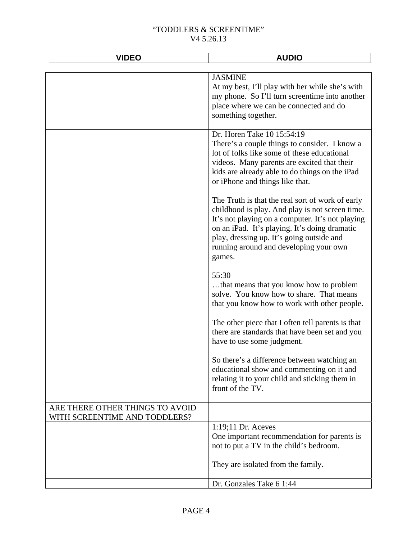| <b>VIDEO</b>                                                     | <b>AUDIO</b>                                                                                                                                                                                                                                                                                              |
|------------------------------------------------------------------|-----------------------------------------------------------------------------------------------------------------------------------------------------------------------------------------------------------------------------------------------------------------------------------------------------------|
|                                                                  |                                                                                                                                                                                                                                                                                                           |
|                                                                  | <b>JASMINE</b><br>At my best, I'll play with her while she's with<br>my phone. So I'll turn screentime into another<br>place where we can be connected and do<br>something together.                                                                                                                      |
|                                                                  | Dr. Horen Take 10 15:54:19<br>There's a couple things to consider. I know a<br>lot of folks like some of these educational<br>videos. Many parents are excited that their<br>kids are already able to do things on the iPad<br>or iPhone and things like that.                                            |
|                                                                  | The Truth is that the real sort of work of early<br>childhood is play. And play is not screen time.<br>It's not playing on a computer. It's not playing<br>on an iPad. It's playing. It's doing dramatic<br>play, dressing up. It's going outside and<br>running around and developing your own<br>games. |
|                                                                  | 55:30<br>that means that you know how to problem<br>solve. You know how to share. That means<br>that you know how to work with other people.                                                                                                                                                              |
|                                                                  | The other piece that I often tell parents is that<br>there are standards that have been set and you<br>have to use some judgment.                                                                                                                                                                         |
|                                                                  | So there's a difference between watching an<br>educational show and commenting on it and<br>relating it to your child and sticking them in<br>front of the TV.                                                                                                                                            |
|                                                                  |                                                                                                                                                                                                                                                                                                           |
| ARE THERE OTHER THINGS TO AVOID<br>WITH SCREENTIME AND TODDLERS? |                                                                                                                                                                                                                                                                                                           |
|                                                                  | $1:19:11$ Dr. Aceves<br>One important recommendation for parents is<br>not to put a TV in the child's bedroom.                                                                                                                                                                                            |
|                                                                  | They are isolated from the family.                                                                                                                                                                                                                                                                        |
|                                                                  | Dr. Gonzales Take 6 1:44                                                                                                                                                                                                                                                                                  |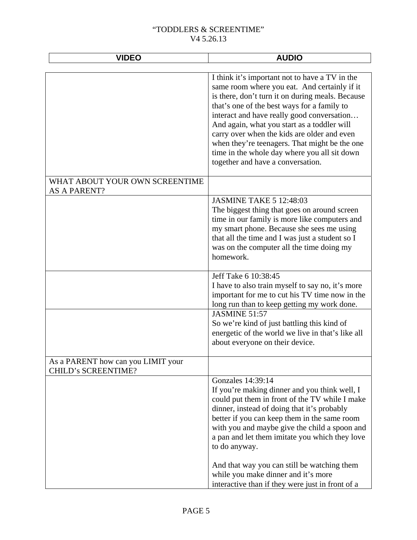| <b>AUDIO</b>                                                                                                                                                                                                                                                                                                                                                                                                                                                                        |
|-------------------------------------------------------------------------------------------------------------------------------------------------------------------------------------------------------------------------------------------------------------------------------------------------------------------------------------------------------------------------------------------------------------------------------------------------------------------------------------|
|                                                                                                                                                                                                                                                                                                                                                                                                                                                                                     |
| I think it's important not to have a TV in the<br>same room where you eat. And certainly if it<br>is there, don't turn it on during meals. Because<br>that's one of the best ways for a family to<br>interact and have really good conversation<br>And again, what you start as a toddler will<br>carry over when the kids are older and even<br>when they're teenagers. That might be the one<br>time in the whole day where you all sit down<br>together and have a conversation. |
|                                                                                                                                                                                                                                                                                                                                                                                                                                                                                     |
| <b>JASMINE TAKE 5 12:48:03</b><br>The biggest thing that goes on around screen<br>time in our family is more like computers and<br>my smart phone. Because she sees me using<br>that all the time and I was just a student so I<br>was on the computer all the time doing my<br>homework.                                                                                                                                                                                           |
| Jeff Take 6 10:38:45<br>I have to also train myself to say no, it's more<br>important for me to cut his TV time now in the<br>long run than to keep getting my work done.                                                                                                                                                                                                                                                                                                           |
| JASMINE 51:57<br>So we're kind of just battling this kind of<br>energetic of the world we live in that's like all<br>about everyone on their device.                                                                                                                                                                                                                                                                                                                                |
|                                                                                                                                                                                                                                                                                                                                                                                                                                                                                     |
| Gonzales 14:39:14<br>If you're making dinner and you think well, I<br>could put them in front of the TV while I make<br>dinner, instead of doing that it's probably<br>better if you can keep them in the same room<br>with you and maybe give the child a spoon and<br>a pan and let them imitate you which they love<br>to do anyway.<br>And that way you can still be watching them<br>while you make dinner and it's more                                                       |
|                                                                                                                                                                                                                                                                                                                                                                                                                                                                                     |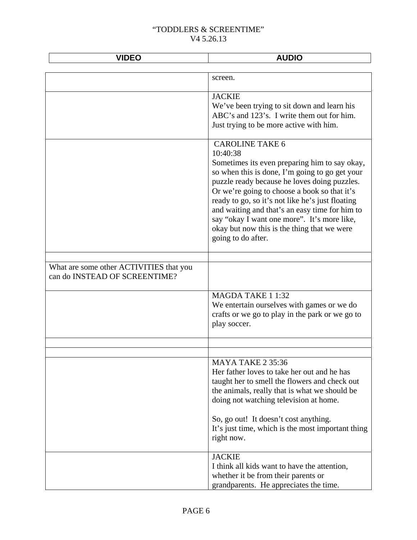| <b>VIDEO</b>                            | <b>AUDIO</b>                                                                                       |
|-----------------------------------------|----------------------------------------------------------------------------------------------------|
|                                         |                                                                                                    |
|                                         | screen.                                                                                            |
|                                         | <b>JACKIE</b>                                                                                      |
|                                         | We've been trying to sit down and learn his                                                        |
|                                         | ABC's and 123's. I write them out for him.                                                         |
|                                         | Just trying to be more active with him.                                                            |
|                                         | <b>CAROLINE TAKE 6</b>                                                                             |
|                                         | 10:40:38                                                                                           |
|                                         | Sometimes its even preparing him to say okay,                                                      |
|                                         | so when this is done, I'm going to go get your                                                     |
|                                         | puzzle ready because he loves doing puzzles.                                                       |
|                                         | Or we're going to choose a book so that it's                                                       |
|                                         | ready to go, so it's not like he's just floating<br>and waiting and that's an easy time for him to |
|                                         | say "okay I want one more". It's more like,                                                        |
|                                         | okay but now this is the thing that we were                                                        |
|                                         | going to do after.                                                                                 |
|                                         |                                                                                                    |
|                                         |                                                                                                    |
| What are some other ACTIVITIES that you |                                                                                                    |
| can do INSTEAD OF SCREENTIME?           |                                                                                                    |
|                                         |                                                                                                    |
|                                         | MAGDA TAKE 1 1:32                                                                                  |
|                                         | We entertain ourselves with games or we do<br>crafts or we go to play in the park or we go to      |
|                                         | play soccer.                                                                                       |
|                                         |                                                                                                    |
|                                         |                                                                                                    |
|                                         | MAYA TAKE 2 35:36                                                                                  |
|                                         | Her father loves to take her out and he has                                                        |
|                                         | taught her to smell the flowers and check out                                                      |
|                                         | the animals, really that is what we should be                                                      |
|                                         | doing not watching television at home.                                                             |
|                                         |                                                                                                    |
|                                         | So, go out! It doesn't cost anything.                                                              |
|                                         | It's just time, which is the most important thing                                                  |
|                                         | right now.                                                                                         |
|                                         | <b>JACKIE</b>                                                                                      |
|                                         | I think all kids want to have the attention,                                                       |
|                                         | whether it be from their parents or                                                                |
|                                         | grandparents. He appreciates the time.                                                             |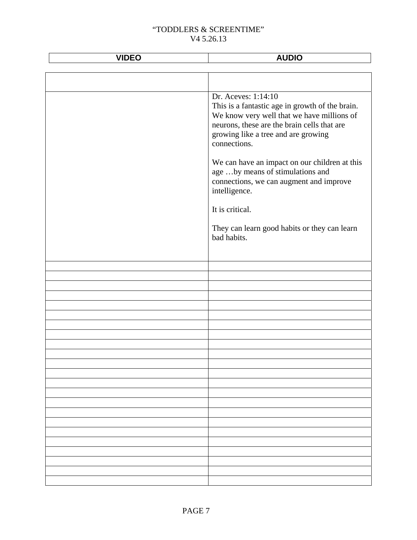| <b>VIDEO</b> | <b>AUDIO</b>                                                                                                                                                                                                               |
|--------------|----------------------------------------------------------------------------------------------------------------------------------------------------------------------------------------------------------------------------|
|              |                                                                                                                                                                                                                            |
|              |                                                                                                                                                                                                                            |
|              | Dr. Aceves: 1:14:10<br>This is a fantastic age in growth of the brain.<br>We know very well that we have millions of<br>neurons, these are the brain cells that are<br>growing like a tree and are growing<br>connections. |
|              | We can have an impact on our children at this<br>age by means of stimulations and<br>connections, we can augment and improve<br>intelligence.                                                                              |
|              | It is critical.<br>They can learn good habits or they can learn<br>bad habits.                                                                                                                                             |
|              |                                                                                                                                                                                                                            |
|              |                                                                                                                                                                                                                            |
|              |                                                                                                                                                                                                                            |
|              |                                                                                                                                                                                                                            |
|              |                                                                                                                                                                                                                            |
|              |                                                                                                                                                                                                                            |
|              |                                                                                                                                                                                                                            |
|              |                                                                                                                                                                                                                            |
|              |                                                                                                                                                                                                                            |
|              |                                                                                                                                                                                                                            |
|              |                                                                                                                                                                                                                            |
|              |                                                                                                                                                                                                                            |
|              |                                                                                                                                                                                                                            |
|              |                                                                                                                                                                                                                            |
|              |                                                                                                                                                                                                                            |
|              |                                                                                                                                                                                                                            |
|              |                                                                                                                                                                                                                            |
|              |                                                                                                                                                                                                                            |
|              |                                                                                                                                                                                                                            |
|              |                                                                                                                                                                                                                            |
|              |                                                                                                                                                                                                                            |
|              |                                                                                                                                                                                                                            |
|              |                                                                                                                                                                                                                            |